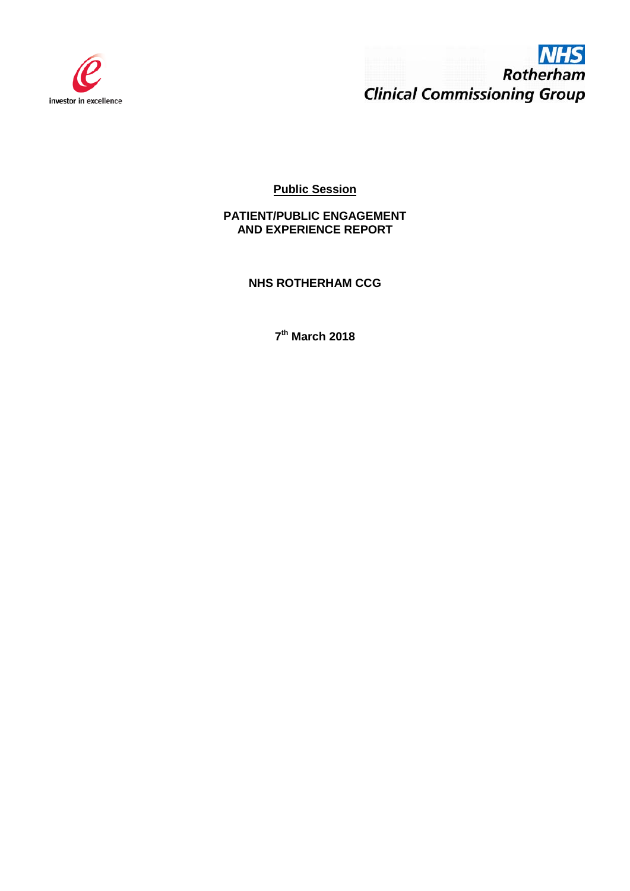



**Public Session**

**PATIENT/PUBLIC ENGAGEMENT AND EXPERIENCE REPORT** 

**NHS ROTHERHAM CCG**

**7th March 2018**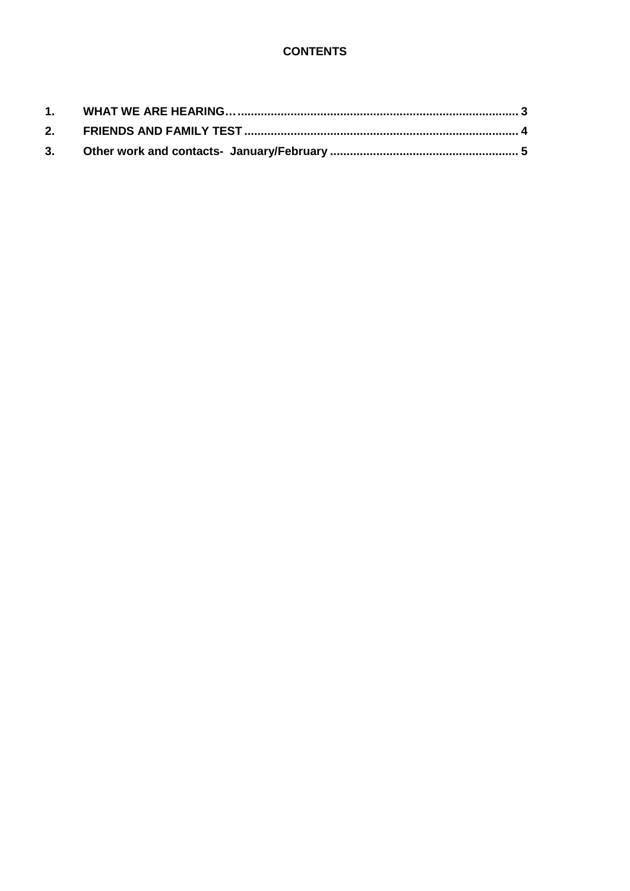# **CONTENTS**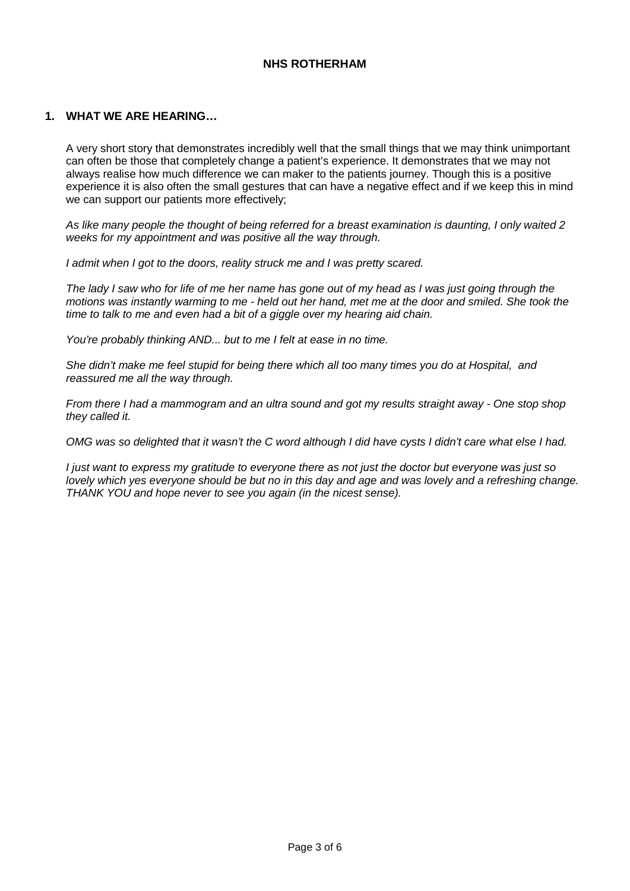## **NHS ROTHERHAM**

#### <span id="page-2-0"></span>**1. WHAT WE ARE HEARING…**

A very short story that demonstrates incredibly well that the small things that we may think unimportant can often be those that completely change a patient's experience. It demonstrates that we may not always realise how much difference we can maker to the patients journey. Though this is a positive experience it is also often the small gestures that can have a negative effect and if we keep this in mind we can support our patients more effectively;

*As like many people the thought of being referred for a breast examination is daunting, I only waited 2 weeks for my appointment and was positive all the way through.* 

*I admit when I got to the doors, reality struck me and I was pretty scared.* 

*The lady I saw who for life of me her name has gone out of my head as I was just going through the motions was instantly warming to me - held out her hand, met me at the door and smiled. She took the time to talk to me and even had a bit of a giggle over my hearing aid chain.* 

*You're probably thinking AND... but to me I felt at ease in no time.* 

*She didn't make me feel stupid for being there which all too many times you do at Hospital, and reassured me all the way through.* 

*From there I had a mammogram and an ultra sound and got my results straight away - One stop shop they called it.* 

*OMG was so delighted that it wasn't the C word although I did have cysts I didn't care what else I had.* 

*I just want to express my gratitude to everyone there as not just the doctor but everyone was just so lovely which yes everyone should be but no in this day and age and was lovely and a refreshing change. THANK YOU and hope never to see you again (in the nicest sense).*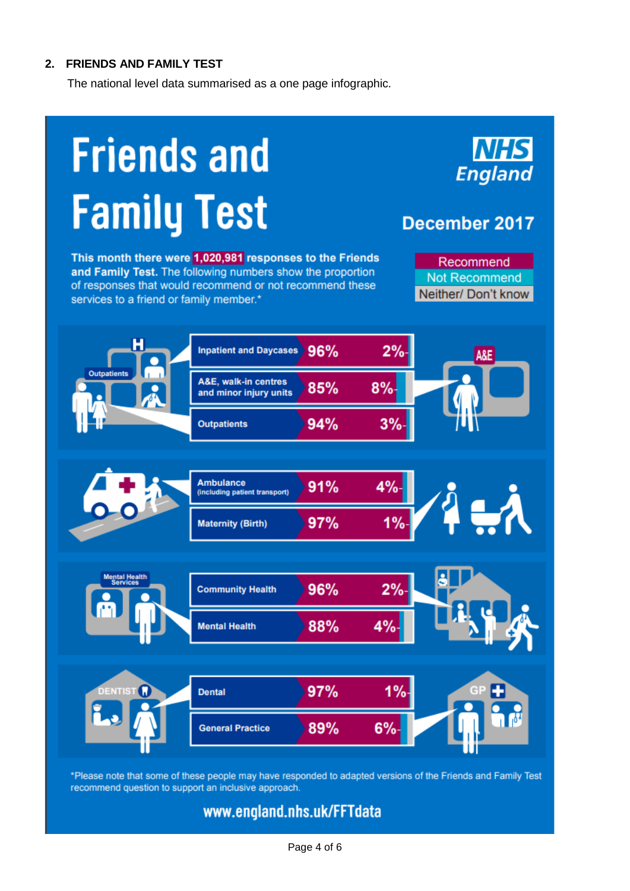# <span id="page-3-0"></span>**2. FRIENDS AND FAMILY TEST**

The national level data summarised as a one page infographic.

# **Friends and Family Test**

This month there were 1,020,981 responses to the Friends and Family Test. The following numbers show the proportion of responses that would recommend or not recommend these services to a friend or family member.\*



# December 2017

Recommend Not Recommend Neither/Don't know



\*Please note that some of these people may have responded to adapted versions of the Friends and Family Test recommend question to support an inclusive approach.

# www.england.nhs.uk/FFTdata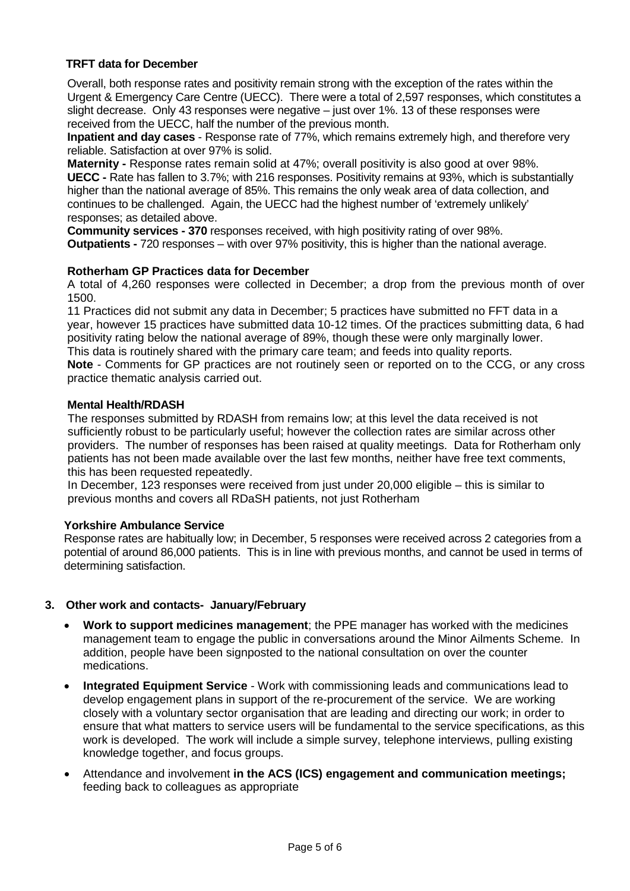## **TRFT data for December**

Overall, both response rates and positivity remain strong with the exception of the rates within the Urgent & Emergency Care Centre (UECC). There were a total of 2,597 responses, which constitutes a slight decrease. Only 43 responses were negative – just over 1%. 13 of these responses were received from the UECC, half the number of the previous month.

**Inpatient and day cases** - Response rate of 77%, which remains extremely high, and therefore very reliable. Satisfaction at over 97% is solid.

**Maternity -** Response rates remain solid at 47%; overall positivity is also good at over 98%. **UECC -** Rate has fallen to 3.7%; with 216 responses. Positivity remains at 93%, which is substantially higher than the national average of 85%. This remains the only weak area of data collection, and continues to be challenged. Again, the UECC had the highest number of 'extremely unlikely' responses; as detailed above.

**Community services - 370** responses received, with high positivity rating of over 98%. **Outpatients -** 720 responses – with over 97% positivity, this is higher than the national average.

#### **Rotherham GP Practices data for December**

A total of 4,260 responses were collected in December; a drop from the previous month of over 1500.

11 Practices did not submit any data in December; 5 practices have submitted no FFT data in a year, however 15 practices have submitted data 10-12 times. Of the practices submitting data, 6 had positivity rating below the national average of 89%, though these were only marginally lower. This data is routinely shared with the primary care team; and feeds into quality reports.

**Note** - Comments for GP practices are not routinely seen or reported on to the CCG, or any cross practice thematic analysis carried out.

#### **Mental Health/RDASH**

The responses submitted by RDASH from remains low; at this level the data received is not sufficiently robust to be particularly useful; however the collection rates are similar across other providers. The number of responses has been raised at quality meetings. Data for Rotherham only patients has not been made available over the last few months, neither have free text comments, this has been requested repeatedly.

In December, 123 responses were received from just under 20,000 eligible – this is similar to previous months and covers all RDaSH patients, not just Rotherham

#### **Yorkshire Ambulance Service**

Response rates are habitually low; in December, 5 responses were received across 2 categories from a potential of around 86,000 patients. This is in line with previous months, and cannot be used in terms of determining satisfaction.

#### <span id="page-4-0"></span>**3. Other work and contacts- January/February**

- **Work to support medicines management**; the PPE manager has worked with the medicines management team to engage the public in conversations around the Minor Ailments Scheme. In addition, people have been signposted to the national consultation on over the counter medications.
- **Integrated Equipment Service** Work with commissioning leads and communications lead to develop engagement plans in support of the re-procurement of the service. We are working closely with a voluntary sector organisation that are leading and directing our work; in order to ensure that what matters to service users will be fundamental to the service specifications, as this work is developed. The work will include a simple survey, telephone interviews, pulling existing knowledge together, and focus groups.
- Attendance and involvement **in the ACS (ICS) engagement and communication meetings;** feeding back to colleagues as appropriate